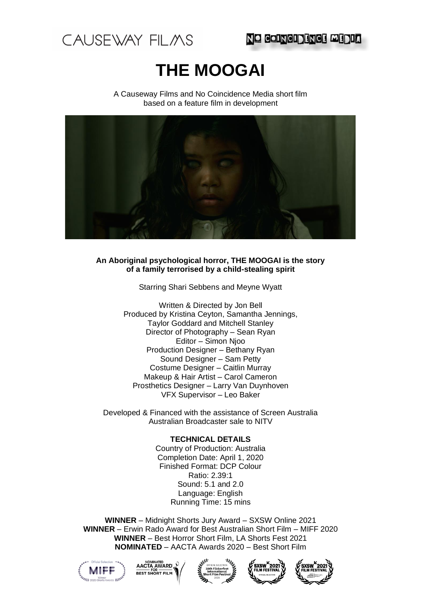

# **THE MOOGAI**

A Causeway Films and No Coincidence Media short film based on a feature film in development



## **An Aboriginal psychological horror, THE MOOGAI is the story of a family terrorised by a child-stealing spirit**

Starring Shari Sebbens and Meyne Wyatt

Written & Directed by Jon Bell Produced by Kristina Ceyton, Samantha Jennings, Taylor Goddard and Mitchell Stanley Director of Photography – Sean Ryan Editor – Simon Njoo Production Designer – Bethany Ryan Sound Designer – Sam Petty Costume Designer – Caitlin Murray Makeup & Hair Artist – Carol Cameron Prosthetics Designer – Larry Van Duynhoven VFX Supervisor – Leo Baker

Developed & Financed with the assistance of Screen Australia Australian Broadcaster sale to NITV

## **TECHNICAL DETAILS**

Country of Production: Australia Completion Date: April 1, 2020 Finished Format: DCP Colour Ratio: 2.39:1 Sound: 5.1 and 2.0 Language: English Running Time: 15 mins

**WINNER** – Midnight Shorts Jury Award – SXSW Online 2021 **WINNER** – Erwin Rado Award for Best Australian Short Film – MIFF 2020 **WINNER** – Best Horror Short Film, LA Shorts Fest 2021 **NOMINATED** – AACTA Awards 2020 – Best Short Film









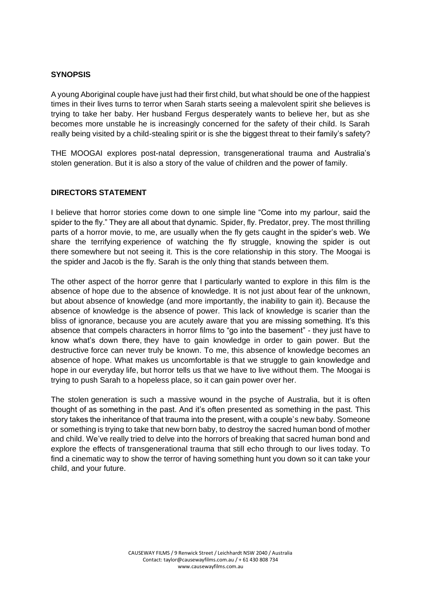## **SYNOPSIS**

A young Aboriginal couple have just had their first child, but what should be one of the happiest times in their lives turns to terror when Sarah starts seeing a malevolent spirit she believes is trying to take her baby. Her husband Fergus desperately wants to believe her, but as she becomes more unstable he is increasingly concerned for the safety of their child. Is Sarah really being visited by a child-stealing spirit or is she the biggest threat to their family's safety?

THE MOOGAI explores post-natal depression, transgenerational trauma and Australia's stolen generation. But it is also a story of the value of children and the power of family.

## **DIRECTORS STATEMENT**

I believe that horror stories come down to one simple line "Come into my parlour, said the spider to the fly." They are all about that dynamic. Spider, fly. Predator, prey. The most thrilling parts of a horror movie, to me, are usually when the fly gets caught in the spider's web. We share the terrifying experience of watching the fly struggle, knowing the spider is out there somewhere but not seeing it. This is the core relationship in this story. The Moogai is the spider and Jacob is the fly. Sarah is the only thing that stands between them.

The other aspect of the horror genre that I particularly wanted to explore in this film is the absence of hope due to the absence of knowledge. It is not just about fear of the unknown, but about absence of knowledge (and more importantly, the inability to gain it). Because the absence of knowledge is the absence of power. This lack of knowledge is scarier than the bliss of ignorance, because you are acutely aware that you are missing something. It's this absence that compels characters in horror films to "go into the basement" - they just have to know what's down there, they have to gain knowledge in order to gain power. But the destructive force can never truly be known. To me, this absence of knowledge becomes an absence of hope. What makes us uncomfortable is that we struggle to gain knowledge and hope in our everyday life, but horror tells us that we have to live without them. The Moogai is trying to push Sarah to a hopeless place, so it can gain power over her.

The stolen generation is such a massive wound in the psyche of Australia, but it is often thought of as something in the past. And it's often presented as something in the past. This story takes the inheritance of that trauma into the present, with a couple's new baby. Someone or something is trying to take that new born baby, to destroy the sacred human bond of mother and child. We've really tried to delve into the horrors of breaking that sacred human bond and explore the effects of transgenerational trauma that still echo through to our lives today. To find a cinematic way to show the terror of having something hunt you down so it can take your child, and your future.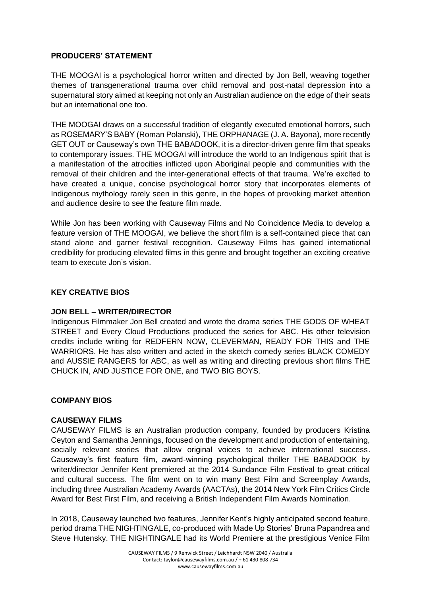## **PRODUCERS' STATEMENT**

THE MOOGAI is a psychological horror written and directed by Jon Bell, weaving together themes of transgenerational trauma over child removal and post-natal depression into a supernatural story aimed at keeping not only an Australian audience on the edge of their seats but an international one too.

THE MOOGAI draws on a successful tradition of elegantly executed emotional horrors, such as ROSEMARY'S BABY (Roman Polanski), THE ORPHANAGE [\(J. A. Bayona\)](https://www.google.com.au/search?rlz=1C5CHFA_enUS573US573&q=J.+A.+Bayona&stick=H4sIAAAAAAAAAOPgE-LSz9U3MCorMk6vUgKzjZOzqwqLtcSyk6300zJzcsGEVUpmUWpySX4RABCcmmAyAAAA&sa=X&ved=2ahUKEwjI7dTtxOvbAhUUa94KHYoxChsQmxMoATAqegQIDBA8), more recently GET OUT or Causeway's own THE BABADOOK, it is a director-driven genre film that speaks to contemporary issues. THE MOOGAI will introduce the world to an Indigenous spirit that is a manifestation of the atrocities inflicted upon Aboriginal people and communities with the removal of their children and the inter-generational effects of that trauma. We're excited to have created a unique, concise psychological horror story that incorporates elements of Indigenous mythology rarely seen in this genre, in the hopes of provoking market attention and audience desire to see the feature film made.

While Jon has been working with Causeway Films and No Coincidence Media to develop a feature version of THE MOOGAI, we believe the short film is a self-contained piece that can stand alone and garner festival recognition. Causeway Films has gained international credibility for producing elevated films in this genre and brought together an exciting creative team to execute Jon's vision.

## **KEY CREATIVE BIOS**

## **JON BELL – WRITER/DIRECTOR**

Indigenous Filmmaker Jon Bell created and wrote the drama series THE GODS OF WHEAT STREET and Every Cloud Productions produced the series for ABC. His other television credits include writing for REDFERN NOW, CLEVERMAN, READY FOR THIS and THE WARRIORS. He has also written and acted in the sketch comedy series BLACK COMEDY and AUSSIE RANGERS for ABC, as well as writing and directing previous short films THE CHUCK IN, AND JUSTICE FOR ONE, and TWO BIG BOYS.

## **COMPANY BIOS**

## **CAUSEWAY FILMS**

CAUSEWAY FILMS is an Australian production company, founded by producers Kristina Ceyton and Samantha Jennings, focused on the development and production of entertaining, socially relevant stories that allow original voices to achieve international success. Causeway's first feature film, award-winning psychological thriller THE BABADOOK by writer/director Jennifer Kent premiered at the 2014 Sundance Film Festival to great critical and cultural success. The film went on to win many Best Film and Screenplay Awards, including three Australian Academy Awards (AACTAs), the 2014 New York Film Critics Circle Award for Best First Film, and receiving a British Independent Film Awards Nomination.

In 2018, Causeway launched two features, Jennifer Kent's highly anticipated second feature, period drama THE NIGHTINGALE, co-produced with Made Up Stories' Bruna Papandrea and Steve Hutensky. THE NIGHTINGALE had its World Premiere at the prestigious Venice Film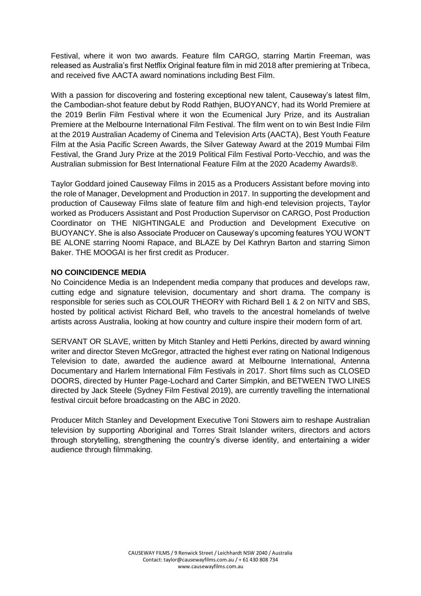Festival, where it won two awards. Feature film CARGO, starring Martin Freeman, was released as Australia's first Netflix Original feature film in mid 2018 after premiering at Tribeca, and received five AACTA award nominations including Best Film.

With a passion for discovering and fostering exceptional new talent, Causeway's latest film, the Cambodian-shot feature debut by Rodd Rathjen, BUOYANCY, had its World Premiere at the 2019 Berlin Film Festival where it won the Ecumenical Jury Prize, and its Australian Premiere at the Melbourne International Film Festival. The film went on to win Best Indie Film at the 2019 Australian Academy of Cinema and Television Arts (AACTA), Best Youth Feature Film at the Asia Pacific Screen Awards, the Silver Gateway Award at the 2019 Mumbai Film Festival, the Grand Jury Prize at the 2019 Political Film Festival Porto-Vecchio, and was the Australian submission for Best International Feature Film at the 2020 Academy Awards®.

Taylor Goddard joined Causeway Films in 2015 as a Producers Assistant before moving into the role of Manager, Development and Production in 2017. In supporting the development and production of Causeway Films slate of feature film and high-end television projects, Taylor worked as Producers Assistant and Post Production Supervisor on CARGO, Post Production Coordinator on THE NIGHTINGALE and Production and Development Executive on BUOYANCY. She is also Associate Producer on Causeway's upcoming features YOU WON'T BE ALONE starring Noomi Rapace, and BLAZE by Del Kathryn Barton and starring Simon Baker. THE MOOGAI is her first credit as Producer.

## **NO COINCIDENCE MEDIA**

No Coincidence Media is an Independent media company that produces and develops raw, cutting edge and signature television, documentary and short drama. The company is responsible for series such as COLOUR THEORY with Richard Bell 1 & 2 on NITV and SBS, hosted by political activist Richard Bell, who travels to the ancestral homelands of twelve artists across Australia, looking at how country and culture inspire their modern form of art.

SERVANT OR SLAVE, written by Mitch Stanley and Hetti Perkins, directed by award winning writer and director Steven McGregor, attracted the highest ever rating on National Indigenous Television to date, awarded the audience award at Melbourne International, Antenna Documentary and Harlem International Film Festivals in 2017. Short films such as CLOSED DOORS, directed by Hunter Page-Lochard and Carter Simpkin, and BETWEEN TWO LINES directed by Jack Steele (Sydney Film Festival 2019), are currently travelling the international festival circuit before broadcasting on the ABC in 2020.

Producer Mitch Stanley and Development Executive Toni Stowers aim to reshape Australian television by supporting Aboriginal and Torres Strait Islander writers, directors and actors through storytelling, strengthening the country's diverse identity, and entertaining a wider audience through filmmaking.